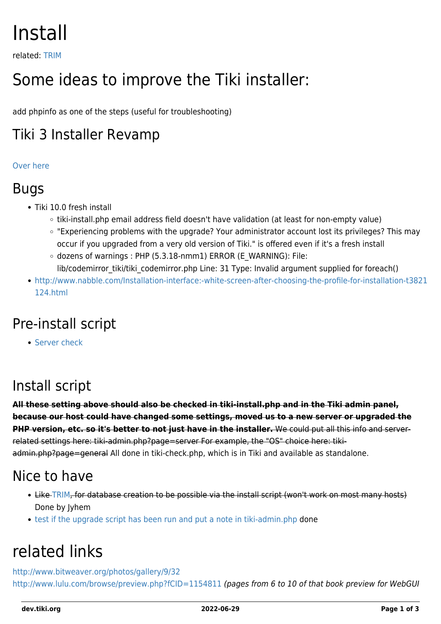# Install

related: [TRIM](https://dev.tiki.org/TRIM)

# Some ideas to improve the Tiki installer:

add phpinfo as one of the steps (useful for troubleshooting)

### Tiki 3 Installer Revamp

#### [Over here](https://dev.tiki.org/Installer-Revamp)

#### Bugs

- Tiki 10.0 fresh install
	- tiki-install.php email address field doesn't have validation (at least for non-empty value)
	- "Experiencing problems with the upgrade? Your administrator account lost its privileges? This may occur if you upgraded from a very old version of Tiki." is offered even if it's a fresh install
	- $\circ$  dozens of warnings : PHP (5.3.18-nmm1) ERROR (E\_WARNING): File: lib/codemirror\_tiki/tiki\_codemirror.php Line: 31 Type: Invalid argument supplied for foreach()
- [http://www.nabble.com/Installation-interface:-white-screen-after-choosing-the-profile-for-installation-t3821](http://www.nabble.com/Installation-interface:-white-screen-after-choosing-the-profile-for-installation-t3821124.html) [124.html](http://www.nabble.com/Installation-interface:-white-screen-after-choosing-the-profile-for-installation-t3821124.html)

# Pre-install script

**[Server check](https://dev.tiki.org/Server-check)** 

### Install script

**All these setting above should also be checked in tiki-install.php and in the Tiki admin panel, because our host could have changed some settings, moved us to a new server or upgraded the PHP version, etc. so it's better to not just have in the installer.** We could put all this info and serverrelated settings here: tiki-admin.php?page=server For example, the "OS" choice here: tikiadmin.php?page=general All done in tiki-check.php, which is in Tiki and available as standalone.

#### Nice to have

- Like [TRIM,](https://dev.tiki.org/TRIM) for database creation to be possible via the install script (won't work on most many hosts) Done by Jyhem
- [test if the upgrade script has been run and put a note in tiki-admin.php](http://tiki.org/tiki-view_forum_thread.php?topics_offset=1&forumId=6&comments_parentId=21274) done

# related links

<http://www.bitweaver.org/photos/gallery/9/32> <http://www.lulu.com/browse/preview.php?fCID=1154811> (pages from 6 to 10 of that book preview for WebGUI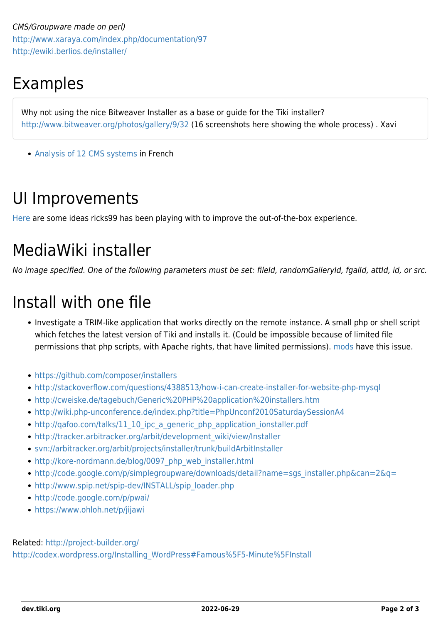CMS/Groupware made on perl) <http://www.xaraya.com/index.php/documentation/97> <http://ewiki.berlios.de/installer/>

# Examples

Why not using the nice Bitweaver Installer as a base or guide for the Tiki installer? <http://www.bitweaver.org/photos/gallery/9/32> (16 screenshots here showing the whole process) . Xavi

• [Analysis of 12 CMS systems](http://www.egvweb.com/analyse/Installation) in French

## UI Improvements

[Here](https://dev.tiki.org/Installer-Revamp) are some ideas ricks99 has been playing with to improve the out-of-the-box experience.

# MediaWiki installer

No image specified. One of the following parameters must be set: fileId, randomGalleryId, fgalId, attId, id, or src.

# Install with one file

- Investigate a TRIM-like application that works directly on the remote instance. A small php or shell script which fetches the latest version of Tiki and installs it. (Could be impossible because of limited file permissions that php scripts, with Apache rights, that have limited permissions). [mods](https://dev.tiki.org/Mods) have this issue.
- <https://github.com/composer/installers>
- <http://stackoverflow.com/questions/4388513/how-i-can-create-installer-for-website-php-mysql>
- <http://cweiske.de/tagebuch/Generic%20PHP%20application%20installers.htm>
- <http://wiki.php-unconference.de/index.php?title=PhpUnconf2010SaturdaySessionA4>
- [http://qafoo.com/talks/11\\_10\\_ipc\\_a\\_generic\\_php\\_application\\_ionstaller.pdf](http://qafoo.com/talks/11_10_ipc_a_generic_php_application_ionstaller.pdf)
- [http://tracker.arbitracker.org/arbit/development\\_wiki/view/Installer](http://tracker.arbitracker.org/arbit/development_wiki/view/Installer)
- <svn://arbitracker.org/arbit/projects/installer/trunk/buildArbitInstaller>
- [http://kore-nordmann.de/blog/0097\\_php\\_web\\_installer.html](http://kore-nordmann.de/blog/0097_php_web_installer.html)
- [http://code.google.com/p/simplegroupware/downloads/detail?name=sgs\\_installer.php&can=2&q=](http://code.google.com/p/simplegroupware/downloads/detail?name=sgs_installer.php&can=2&q=)
- [http://www.spip.net/spip-dev/INSTALL/spip\\_loader.php](http://www.spip.net/spip-dev/INSTALL/spip_loader.php)
- <http://code.google.com/p/pwai/>
- <https://www.ohloh.net/p/jijawi>

#### Related: <http://project-builder.org/>

[http://codex.wordpress.org/Installing\\_WordPress#Famous%5F5-Minute%5FInstall](http://codex.wordpress.org/Installing_WordPress#Famous%5F5-Minute%5FInstall)